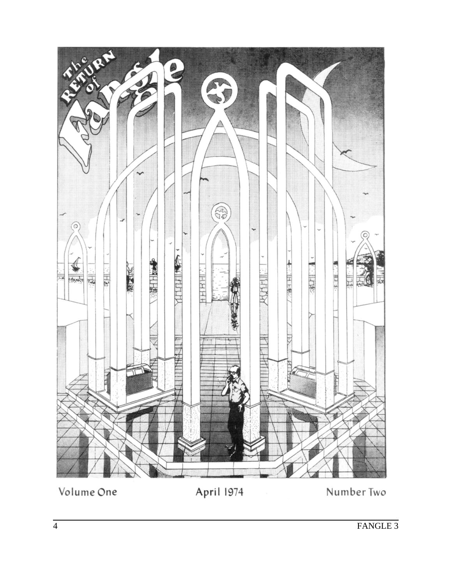

Volume One

April 1974

Number Two